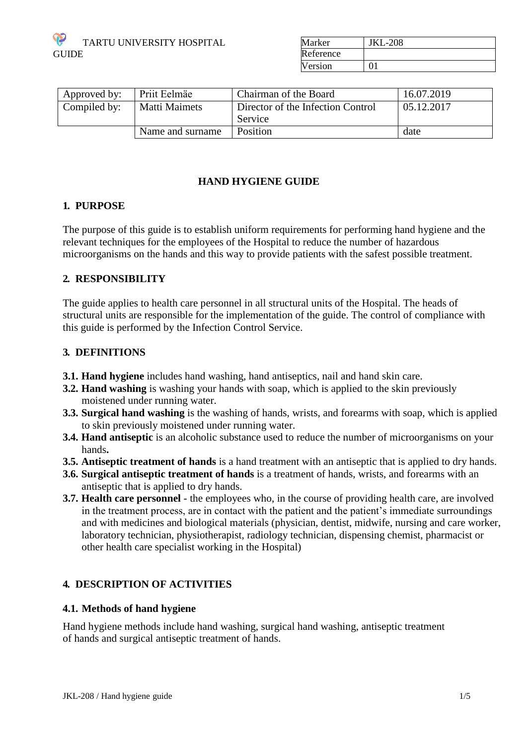

| Marker    | <b>JKL-208</b> |
|-----------|----------------|
| Reference |                |
| Version   | ∩1             |

| Approved by: | Priit Eelmäe     | Chairman of the Board                        | 16.07.2019 |
|--------------|------------------|----------------------------------------------|------------|
| Compiled by: | Matti Maimets    | Director of the Infection Control<br>Service | 05.12.2017 |
|              | Name and surname | Position                                     | date       |

# **HAND HYGIENE GUIDE**

#### **1. PURPOSE**

The purpose of this guide is to establish uniform requirements for performing hand hygiene and the relevant techniques for the employees of the Hospital to reduce the number of hazardous microorganisms on the hands and this way to provide patients with the safest possible treatment.

### **2. RESPONSIBILITY**

The guide applies to health care personnel in all structural units of the Hospital. The heads of structural units are responsible for the implementation of the guide. The control of compliance with this guide is performed by the Infection Control Service.

### **3. DEFINITIONS**

- **3.1. Hand hygiene** includes hand washing, hand antiseptics, nail and hand skin care.
- **3.2. Hand washing** is washing your hands with soap, which is applied to the skin previously moistened under running water.
- **3.3. Surgical hand washing** is the washing of hands, wrists, and forearms with soap, which is applied to skin previously moistened under running water.
- **3.4. Hand antiseptic** is an alcoholic substance used to reduce the number of microorganisms on your hands**.**
- **3.5. Antiseptic treatment of hands** is a hand treatment with an antiseptic that is applied to dry hands.
- **3.6. Surgical antiseptic treatment of hands** is a treatment of hands, wrists, and forearms with an antiseptic that is applied to dry hands.
- **3.7. Health care personnel** the employees who, in the course of providing health care, are involved in the treatment process, are in contact with the patient and the patient's immediate surroundings and with medicines and biological materials (physician, dentist, midwife, nursing and care worker, laboratory technician, physiotherapist, radiology technician, dispensing chemist, pharmacist or other health care specialist working in the Hospital)

# **4. DESCRIPTION OF ACTIVITIES**

#### **4.1. Methods of hand hygiene**

Hand hygiene methods include hand washing, surgical hand washing, antiseptic treatment of hands and surgical antiseptic treatment of hands.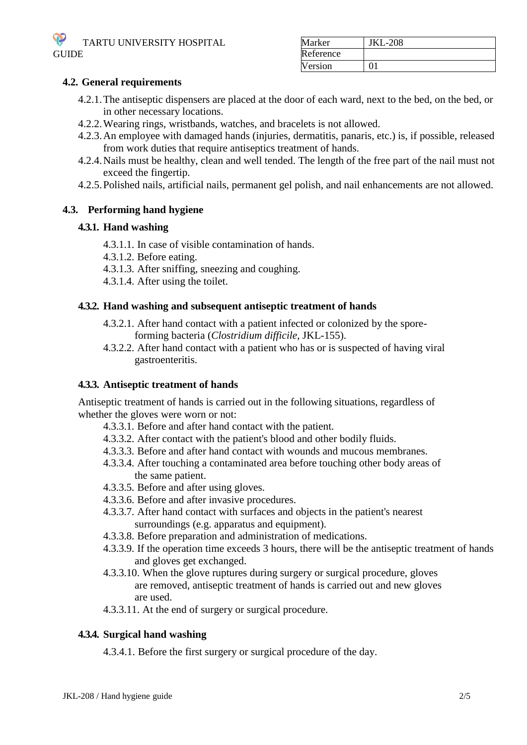

| Marker    | <b>JKL-208</b> |
|-----------|----------------|
| Reference |                |
| Version   |                |

### **4.2. General requirements**

- 4.2.1.The antiseptic dispensers are placed at the door of each ward, next to the bed, on the bed, or in other necessary locations.
- 4.2.2.Wearing rings, wristbands, watches, and bracelets is not allowed.
- 4.2.3.An employee with damaged hands (injuries, dermatitis, panaris, etc.) is, if possible, released from work duties that require antiseptics treatment of hands.
- 4.2.4.Nails must be healthy, clean and well tended. The length of the free part of the nail must not exceed the fingertip.
- 4.2.5.Polished nails, artificial nails, permanent gel polish, and nail enhancements are not allowed.

### **4.3. Performing hand hygiene**

### **4.3.1. Hand washing**

- 4.3.1.1. In case of visible contamination of hands.
- 4.3.1.2. Before eating.
- 4.3.1.3. After sniffing, sneezing and coughing.
- 4.3.1.4. After using the toilet.

#### **4.3.2. Hand washing and subsequent antiseptic treatment of hands**

- 4.3.2.1. After hand contact with a patient infected or colonized by the sporeforming bacteria (*Clostridium difficile*, JKL-155).
- 4.3.2.2. After hand contact with a patient who has or is suspected of having viral gastroenteritis.

#### **4.3.3. Antiseptic treatment of hands**

Antiseptic treatment of hands is carried out in the following situations, regardless of whether the gloves were worn or not:

- 4.3.3.1. Before and after hand contact with the patient.
- 4.3.3.2. After contact with the patient's blood and other bodily fluids.
- 4.3.3.3. Before and after hand contact with wounds and mucous membranes.
- 4.3.3.4. After touching a contaminated area before touching other body areas of the same patient.
- 4.3.3.5. Before and after using gloves.
- 4.3.3.6. Before and after invasive procedures.
- 4.3.3.7. After hand contact with surfaces and objects in the patient's nearest surroundings (e.g. apparatus and equipment).
- 4.3.3.8. Before preparation and administration of medications.
- 4.3.3.9. If the operation time exceeds 3 hours, there will be the antiseptic treatment of hands and gloves get exchanged.
- 4.3.3.10. When the glove ruptures during surgery or surgical procedure, gloves are removed, antiseptic treatment of hands is carried out and new gloves are used.
- 4.3.3.11. At the end of surgery or surgical procedure.

### **4.3.4. Surgical hand washing**

4.3.4.1. Before the first surgery or surgical procedure of the day.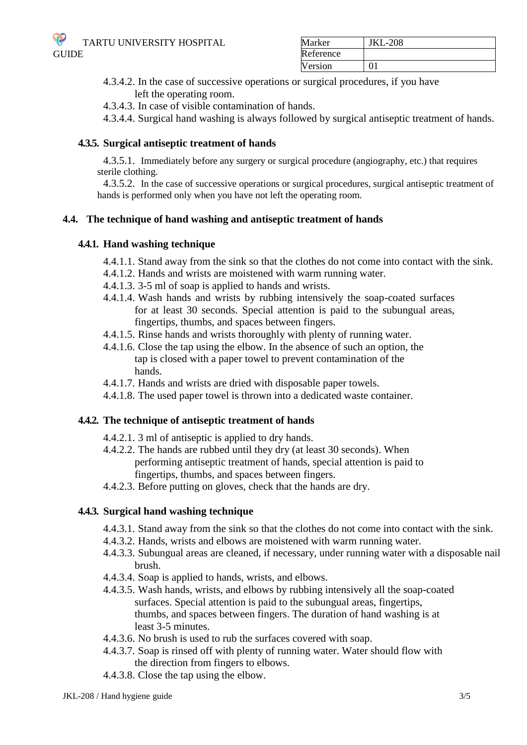TARTU UNIVERSITY HOSPITAL **GUIDE** 

| Marker    | <b>JKL-208</b> |
|-----------|----------------|
| Reference |                |
| Version   |                |

- 4.3.4.2. In the case of successive operations or surgical procedures, if you have left the operating room.
- 4.3.4.3. In case of visible contamination of hands.

4.3.4.4. Surgical hand washing is always followed by surgical antiseptic treatment of hands.

## **4.3.5. Surgical antiseptic treatment of hands**

4.3.5.1. Immediately before any surgery or surgical procedure (angiography, etc.) that requires sterile clothing.

4.3.5.2. In the case of successive operations or surgical procedures, surgical antiseptic treatment of hands is performed only when you have not left the operating room.

### **4.4. The technique of hand washing and antiseptic treatment of hands**

#### **4.4.1. Hand washing technique**

- 4.4.1.1. Stand away from the sink so that the clothes do not come into contact with the sink.
- 4.4.1.2. Hands and wrists are moistened with warm running water.
- 4.4.1.3. 3-5 ml of soap is applied to hands and wrists.
- 4.4.1.4. Wash hands and wrists by rubbing intensively the soap-coated surfaces for at least 30 seconds. Special attention is paid to the subungual areas, fingertips, thumbs, and spaces between fingers.
- 4.4.1.5. Rinse hands and wrists thoroughly with plenty of running water.
- 4.4.1.6. Close the tap using the elbow. In the absence of such an option, the tap is closed with a paper towel to prevent contamination of the hands.
- 4.4.1.7. Hands and wrists are dried with disposable paper towels.
- 4.4.1.8. The used paper towel is thrown into a dedicated waste container.

#### **4.4.2. The technique of antiseptic treatment of hands**

- 4.4.2.1. 3 ml of antiseptic is applied to dry hands.
- 4.4.2.2. The hands are rubbed until they dry (at least 30 seconds). When performing antiseptic treatment of hands, special attention is paid to fingertips, thumbs, and spaces between fingers.
- 4.4.2.3. Before putting on gloves, check that the hands are dry.

#### **4.4.3. Surgical hand washing technique**

- 4.4.3.1. Stand away from the sink so that the clothes do not come into contact with the sink.
- 4.4.3.2. Hands, wrists and elbows are moistened with warm running water.
- 4.4.3.3. Subungual areas are cleaned, if necessary, under running water with a disposable nail brush.
- 4.4.3.4. Soap is applied to hands, wrists, and elbows.
- 4.4.3.5. Wash hands, wrists, and elbows by rubbing intensively all the soap-coated surfaces. Special attention is paid to the subungual areas, fingertips, thumbs, and spaces between fingers. The duration of hand washing is at least 3-5 minutes.
- 4.4.3.6. No brush is used to rub the surfaces covered with soap.
- 4.4.3.7. Soap is rinsed off with plenty of running water. Water should flow with the direction from fingers to elbows.
- 4.4.3.8. Close the tap using the elbow.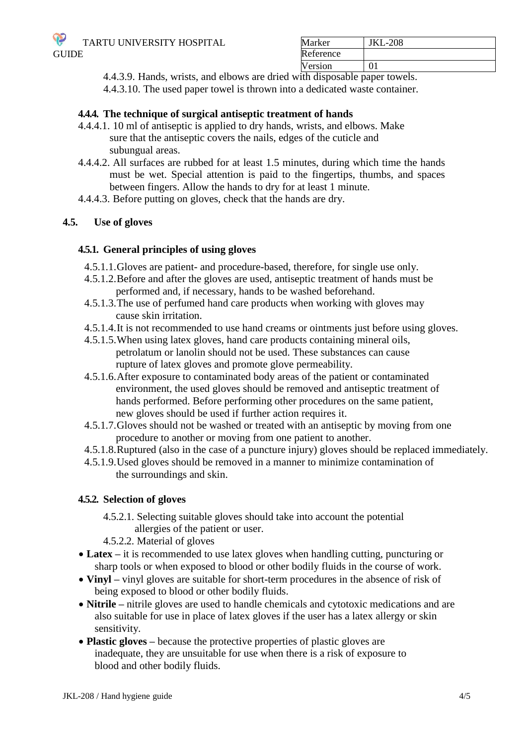| Marker    | <b>JKL-208</b> |
|-----------|----------------|
| Reference |                |
| Version   |                |

4.4.3.9. Hands, wrists, and elbows are dried with disposable paper towels.

4.4.3.10. The used paper towel is thrown into a dedicated waste container.

## **4.4.4. The technique of surgical antiseptic treatment of hands**

- 4.4.4.1. 10 ml of antiseptic is applied to dry hands, wrists, and elbows. Make sure that the antiseptic covers the nails, edges of the cuticle and subungual areas.
- 4.4.4.2. All surfaces are rubbed for at least 1.5 minutes, during which time the hands must be wet. Special attention is paid to the fingertips, thumbs, and spaces between fingers. Allow the hands to dry for at least 1 minute.
- 4.4.4.3. Before putting on gloves, check that the hands are dry.

# **4.5. Use of gloves**

### **4.5.1. General principles of using gloves**

- 4.5.1.1.Gloves are patient- and procedure-based, therefore, for single use only.
- 4.5.1.2.Before and after the gloves are used, antiseptic treatment of hands must be performed and, if necessary, hands to be washed beforehand.
- 4.5.1.3.The use of perfumed hand care products when working with gloves may cause skin irritation.
- 4.5.1.4.It is not recommended to use hand creams or ointments just before using gloves.
- 4.5.1.5.When using latex gloves, hand care products containing mineral oils, petrolatum or lanolin should not be used. These substances can cause rupture of latex gloves and promote glove permeability.
- 4.5.1.6.After exposure to contaminated body areas of the patient or contaminated environment, the used gloves should be removed and antiseptic treatment of hands performed. Before performing other procedures on the same patient, new gloves should be used if further action requires it.
- 4.5.1.7.Gloves should not be washed or treated with an antiseptic by moving from one procedure to another or moving from one patient to another.
- 4.5.1.8.Ruptured (also in the case of a puncture injury) gloves should be replaced immediately.
- 4.5.1.9.Used gloves should be removed in a manner to minimize contamination of the surroundings and skin.

#### **4.5.2. Selection of gloves**

- 4.5.2.1. Selecting suitable gloves should take into account the potential allergies of the patient or user.
- 4.5.2.2. Material of gloves
- Latex it is recommended to use latex gloves when handling cutting, puncturing or sharp tools or when exposed to blood or other bodily fluids in the course of work.
- **Vinyl –** vinyl gloves are suitable for short-term procedures in the absence of risk of being exposed to blood or other bodily fluids.
- **Nitrile –** nitrile gloves are used to handle chemicals and cytotoxic medications and are also suitable for use in place of latex gloves if the user has a latex allergy or skin sensitivity.
- **Plastic gloves –** because the protective properties of plastic gloves are inadequate, they are unsuitable for use when there is a risk of exposure to blood and other bodily fluids.